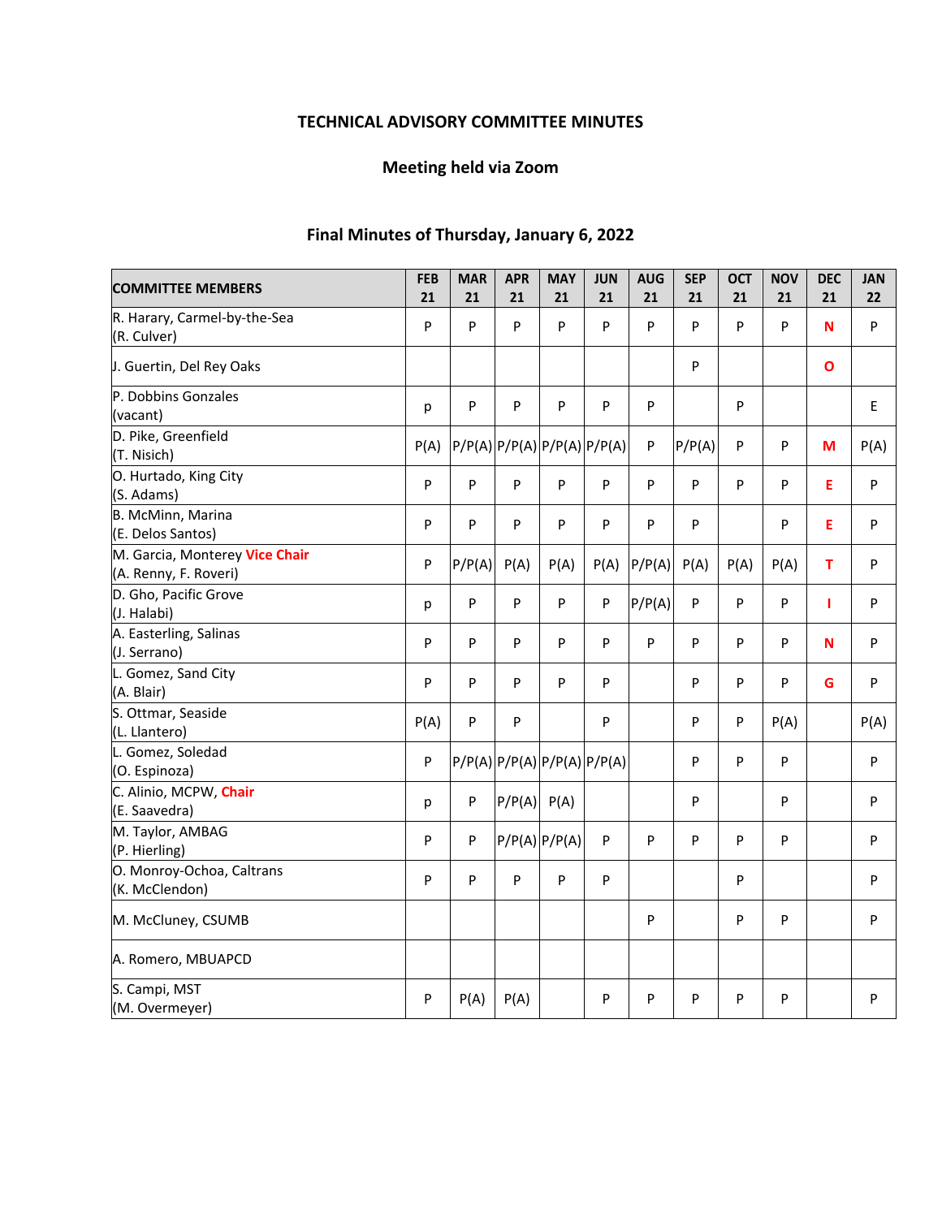# **TECHNICAL ADVISORY COMMITTEE MINUTES**

# **Meeting held via Zoom**

# **Final Minutes of Thursday, January 6, 2022**

| <b>COMMITTEE MEMBERS</b>                                | <b>FEB</b><br>21 | <b>MAR</b><br>21 | <b>APR</b><br>21 | <b>MAY</b><br>21            | <b>JUN</b><br>21            | <b>AUG</b><br>21 | <b>SEP</b><br>21 | <b>OCT</b><br>21 | <b>NOV</b><br>21 | <b>DEC</b><br>21 | <b>JAN</b><br>22 |
|---------------------------------------------------------|------------------|------------------|------------------|-----------------------------|-----------------------------|------------------|------------------|------------------|------------------|------------------|------------------|
| R. Harary, Carmel-by-the-Sea<br>(R. Culver)             | P                | P                | P                | $\mathsf{P}$                | P                           | P                | P                | P                | P                | N                | P                |
| J. Guertin, Del Rey Oaks                                |                  |                  |                  |                             |                             |                  | P                |                  |                  | $\mathbf{o}$     |                  |
| P. Dobbins Gonzales<br>(vacant)                         | р                | P                | P                | P                           | P                           | P                |                  | P                |                  |                  | E                |
| D. Pike, Greenfield<br>(T. Nisich)                      | P(A)             |                  |                  |                             | P/P(A) P/P(A) P/P(A) P/P(A) | P                | P/P(A)           | P                | P                | M                | P(A)             |
| O. Hurtado, King City<br>(S. Adams)                     | P                | P                | P                | P                           | $\mathsf{P}$                | P                | P                | P                | P                | E                | P                |
| B. McMinn, Marina<br>(E. Delos Santos)                  | P                | P                | P                | P                           | P                           | P                | P                |                  | P                | E                | P                |
| M. Garcia, Monterey Vice Chair<br>(A. Renny, F. Roveri) | P                | P/P(A)           | P(A)             | P(A)                        | P(A)                        | P/P(A)           | P(A)             | P(A)             | P(A)             | т                | P                |
| D. Gho, Pacific Grove<br>(J. Halabi)                    | р                | P                | P                | P                           | P                           | P/P(A)           | P                | P                | P                | т                | P                |
| A. Easterling, Salinas<br>(J. Serrano)                  | P                | P                | P                | P                           | P                           | P                | P                | P                | P                | N                | P                |
| L. Gomez, Sand City<br>(A. Blair)                       | P                | P                | P                | P                           | P                           |                  | P                | P                | P                | G                | P                |
| S. Ottmar, Seaside<br>(L. Llantero)                     | P(A)             | P                | P                |                             | P                           |                  | P                | P                | P(A)             |                  | P(A)             |
| L. Gomez, Soledad<br>(O. Espinoza)                      | P                |                  |                  | P/P(A) P/P(A) P/P(A) P/P(A) |                             |                  | P                | P                | P                |                  | P                |
| C. Alinio, MCPW, Chair<br>(E. Saavedra)                 | р                | P                | P/P(A)           | P(A)                        |                             |                  | P                |                  | P                |                  | P                |
| M. Taylor, AMBAG<br>(P. Hierling)                       | P                | P                |                  | $P/P(A)$ $P/P(A)$           | P                           | P                | P                | P                | P                |                  | P                |
| O. Monroy-Ochoa, Caltrans<br>(K. McClendon)             | P                | P                | P                | P                           | ${\sf P}$                   |                  |                  | P                |                  |                  | P                |
| M. McCluney, CSUMB                                      |                  |                  |                  |                             |                             | ${\sf P}$        |                  | P                | P                |                  | P                |
| A. Romero, MBUAPCD                                      |                  |                  |                  |                             |                             |                  |                  |                  |                  |                  |                  |
| S. Campi, MST<br>(M. Overmeyer)                         | P                | P(A)             | P(A)             |                             | P                           | P                | P                | P                | P                |                  | P                |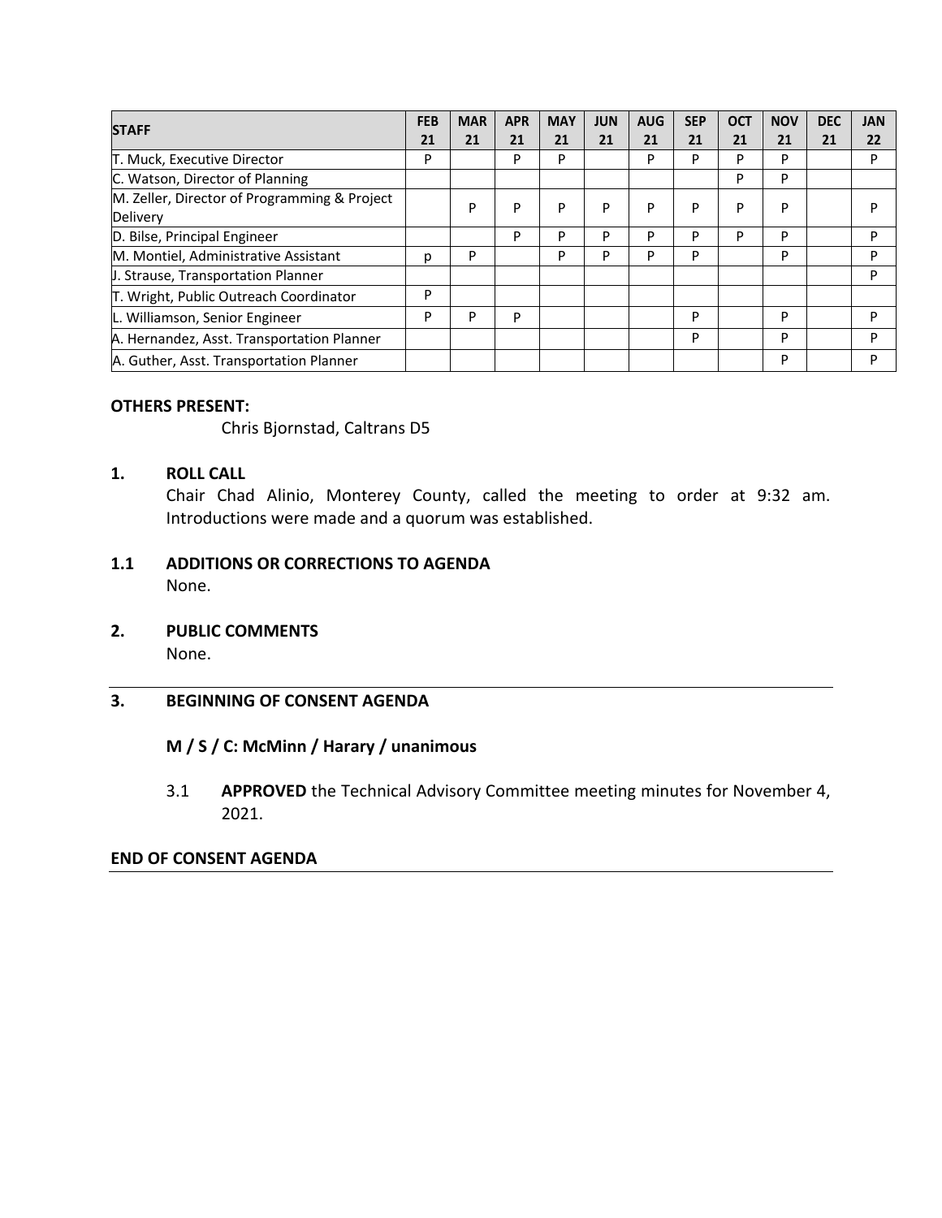| <b>STAFF</b>                                 | <b>FEB</b> | <b>MAR</b> | <b>APR</b> | <b>MAY</b> | <b>JUN</b> | <b>AUG</b> | <b>SEP</b> | <b>OCT</b> | <b>NOV</b> | <b>DEC</b> | <b>JAN</b> |
|----------------------------------------------|------------|------------|------------|------------|------------|------------|------------|------------|------------|------------|------------|
|                                              | 21         | 21         | 21         | 21         | 21         | 21         | 21         | 21         | 21         | 21         | 22         |
| T. Muck, Executive Director                  | P          |            | P          | P          |            | P          | P          | P          | P          |            | P          |
| C. Watson, Director of Planning              |            |            |            |            |            |            |            | P          | P          |            |            |
| M. Zeller, Director of Programming & Project |            | P          | P          | P          | P          | P          | P          | P          | P          |            | P          |
| Delivery                                     |            |            |            |            |            |            |            |            |            |            |            |
| D. Bilse, Principal Engineer                 |            |            | P          | P          | D          | Þ          | P          | P          | P          |            | P          |
| M. Montiel, Administrative Assistant         | p          | P          |            | P          | D          | Þ          | P          |            | P          |            | P          |
| J. Strause, Transportation Planner           |            |            |            |            |            |            |            |            |            |            | P          |
| T. Wright, Public Outreach Coordinator       | P          |            |            |            |            |            |            |            |            |            |            |
| L. Williamson, Senior Engineer               | P          | P          | P          |            |            |            | P          |            | P          |            | P          |
| A. Hernandez, Asst. Transportation Planner   |            |            |            |            |            |            | P          |            | P          |            | P          |
| A. Guther, Asst. Transportation Planner      |            |            |            |            |            |            |            |            | P          |            | P          |

### **OTHERS PRESENT:**

Chris Bjornstad, Caltrans D5

# **1. ROLL CALL**

Chair Chad Alinio, Monterey County, called the meeting to order at 9:32 am. Introductions were made and a quorum was established.

## **1.1 ADDITIONS OR CORRECTIONS TO AGENDA**  None.

**2. PUBLIC COMMENTS** 

None.

## **3. BEGINNING OF CONSENT AGENDA**

# **M / S / C: McMinn / Harary / unanimous**

3.1 **APPROVED** the Technical Advisory Committee meeting minutes for November 4, 2021.

## **END OF CONSENT AGENDA**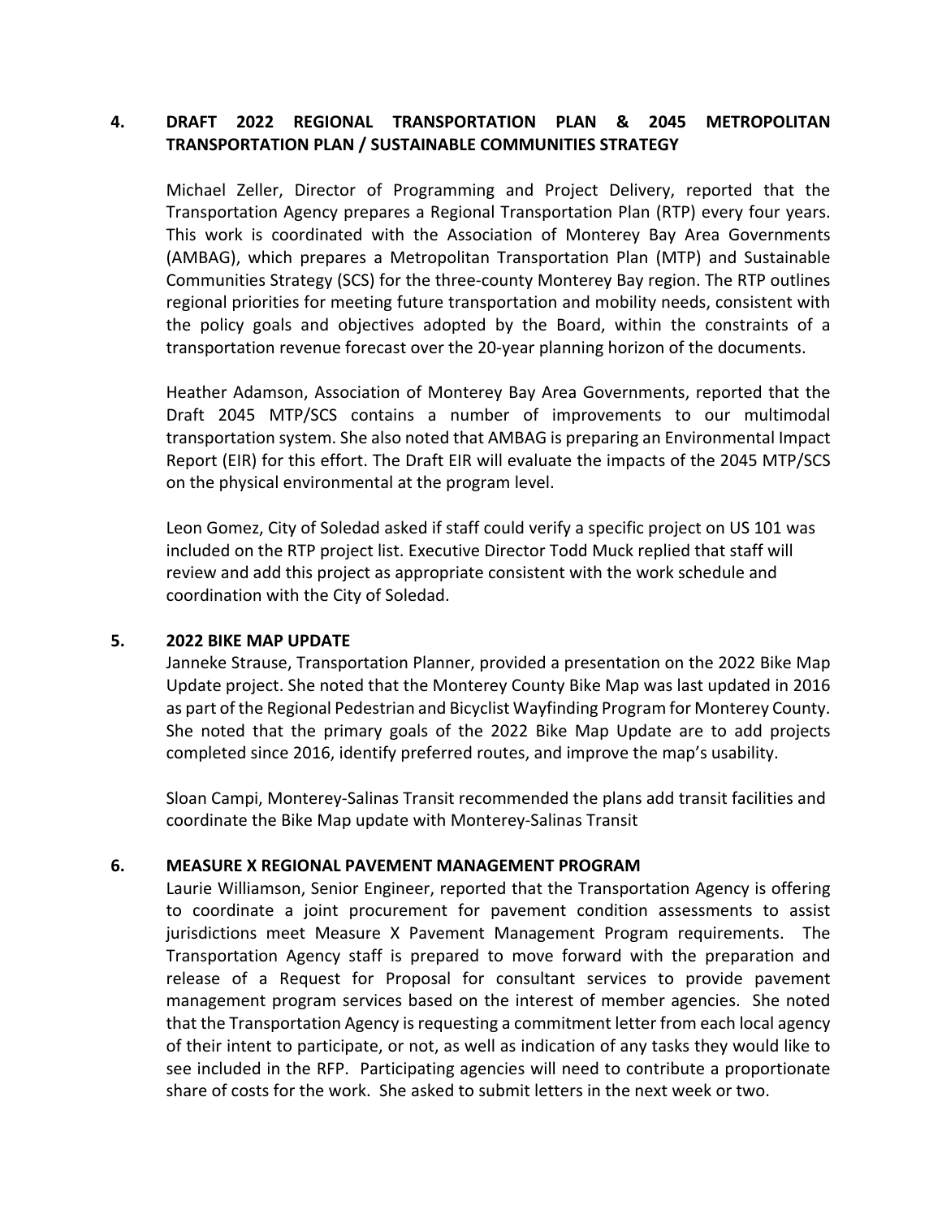# **4. DRAFT 2022 REGIONAL TRANSPORTATION PLAN & 2045 METROPOLITAN TRANSPORTATION PLAN / SUSTAINABLE COMMUNITIES STRATEGY**

Michael Zeller, Director of Programming and Project Delivery, reported that the Transportation Agency prepares a Regional Transportation Plan (RTP) every four years. This work is coordinated with the Association of Monterey Bay Area Governments (AMBAG), which prepares a Metropolitan Transportation Plan (MTP) and Sustainable Communities Strategy (SCS) for the three‐county Monterey Bay region. The RTP outlines regional priorities for meeting future transportation and mobility needs, consistent with the policy goals and objectives adopted by the Board, within the constraints of a transportation revenue forecast over the 20‐year planning horizon of the documents.

Heather Adamson, Association of Monterey Bay Area Governments, reported that the Draft 2045 MTP/SCS contains a number of improvements to our multimodal transportation system. She also noted that AMBAG is preparing an Environmental Impact Report (EIR) for this effort. The Draft EIR will evaluate the impacts of the 2045 MTP/SCS on the physical environmental at the program level.

Leon Gomez, City of Soledad asked if staff could verify a specific project on US 101 was included on the RTP project list. Executive Director Todd Muck replied that staff will review and add this project as appropriate consistent with the work schedule and coordination with the City of Soledad.

#### **5. 2022 BIKE MAP UPDATE**

Janneke Strause, Transportation Planner, provided a presentation on the 2022 Bike Map Update project. She noted that the Monterey County Bike Map was last updated in 2016 as part of the Regional Pedestrian and Bicyclist Wayfinding Program for Monterey County. She noted that the primary goals of the 2022 Bike Map Update are to add projects completed since 2016, identify preferred routes, and improve the map's usability.

Sloan Campi, Monterey‐Salinas Transit recommended the plans add transit facilities and coordinate the Bike Map update with Monterey‐Salinas Transit

### **6. MEASURE X REGIONAL PAVEMENT MANAGEMENT PROGRAM**

Laurie Williamson, Senior Engineer, reported that the Transportation Agency is offering to coordinate a joint procurement for pavement condition assessments to assist jurisdictions meet Measure X Pavement Management Program requirements. The Transportation Agency staff is prepared to move forward with the preparation and release of a Request for Proposal for consultant services to provide pavement management program services based on the interest of member agencies. She noted that the Transportation Agency is requesting a commitment letter from each local agency of their intent to participate, or not, as well as indication of any tasks they would like to see included in the RFP. Participating agencies will need to contribute a proportionate share of costs for the work. She asked to submit letters in the next week or two.